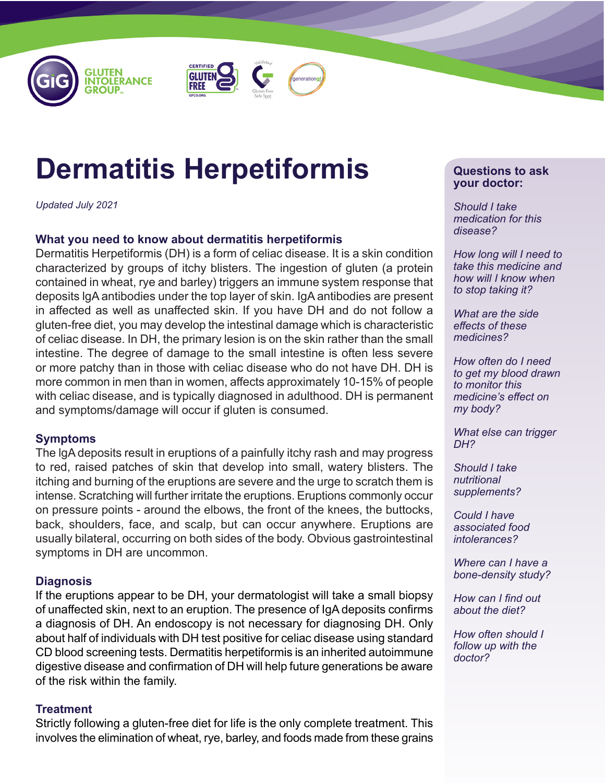





# **Dermatitis Herpetiformis**

*Updated July 2021*

## **What you need to know about dermatitis herpetiformis**

Dermatitis Herpetiformis (DH) is a form of celiac disease. It is a skin condition characterized by groups of itchy blisters. The ingestion of gluten (a protein contained in wheat, rye and barley) triggers an immune system response that deposits lgA antibodies under the top layer of skin. IgA antibodies are present in affected as well as unaffected skin. If you have DH and do not follow a gluten-free diet, you may develop the intestinal damage which is characteristic of celiac disease. In DH, the primary lesion is on the skin rather than the small intestine. The degree of damage to the small intestine is often less severe or more patchy than in those with celiac disease who do not have DH. DH is more common in men than in women, affects approximately 10-15% of people with celiac disease, and is typically diagnosed in adulthood. DH is permanent and symptoms/damage will occur if gluten is consumed.

## **Symptoms**

The lgA deposits result in eruptions of a painfully itchy rash and may progress to red, raised patches of skin that develop into small, watery blisters. The itching and burning of the eruptions are severe and the urge to scratch them is intense. Scratching will further irritate the eruptions. Eruptions commonly occur on pressure points - around the elbows, the front of the knees, the buttocks, back, shoulders, face, and scalp, but can occur anywhere. Eruptions are usually bilateral, occurring on both sides of the body. Obvious gastrointestinal symptoms in DH are uncommon.

## **Diagnosis**

If the eruptions appear to be DH, your dermatologist will take a small biopsy of unaffected skin, next to an eruption. The presence of IgA deposits confirms a diagnosis of DH. An endoscopy is not necessary for diagnosing DH. Only about half of individuals with DH test positive for celiac disease using standard CD blood screening tests. Dermatitis herpetiformis is an inherited autoimmune digestive disease and confirmation of DH will help future generations be aware of the risk within the family.

#### **Treatment**

Strictly following a gluten-free diet for life is the only complete treatment. This involves the elimination of wheat, rye, barley, and foods made from these grains

#### **Questions to ask your doctor:**

*Should I take medication for this disease?* 

*How long will I need to take this medicine and how will I know when to stop taking it?* 

*What are the side effects of these medicines?* 

*How often do I need to get my blood drawn to monitor this medicine's effect on my body?* 

*What else can trigger DH?* 

*Should I take nutritional supplements?* 

*Could I have associated food intolerances?* 

*Where can I have a bone-density study?* 

*How can I find out about the diet?* 

*How often should I follow up with the doctor?*